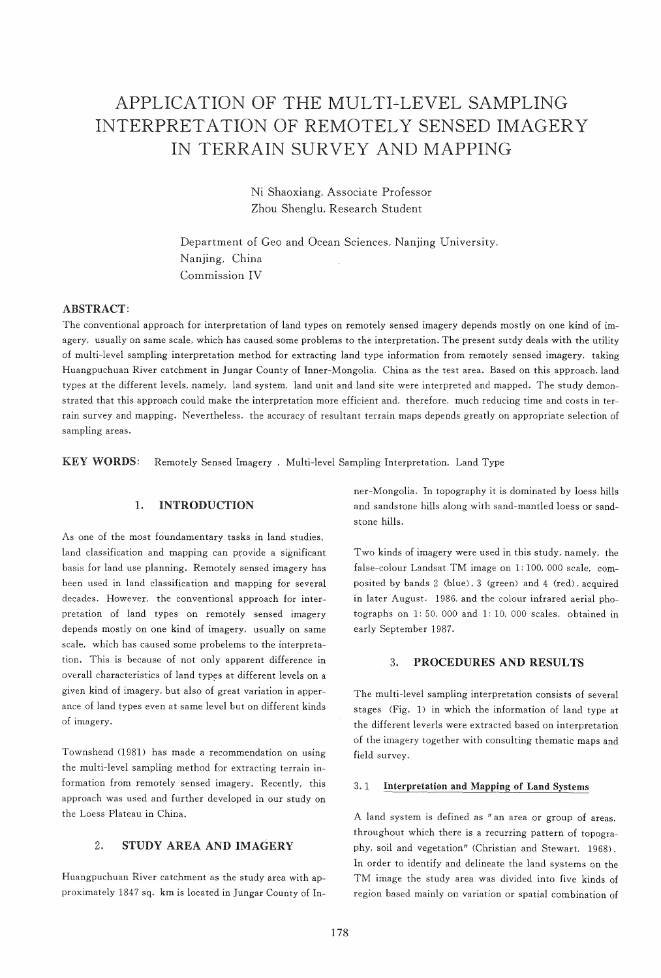# APPLICATION OF THE MULTI~LEVEL SAMPLING INTERPRET ATION OF REMOTELY SENSED IMAGERY IN TERRAIN SURVEY AND MAPPING

Ni Shaoxiang, Associate Professor Zhou Shenglu, Research Student

Department of Geo and Ocean Sciences, Nanjing University, Nanjing, China Commission IV

# ABSTRACT:

The conventional approach for interpretation of land types on remotely sensed imagery depends mostly on one kind of imagery, usually on same scale, which has caused some problems to the interpretation. The present sutdy deals with the utility of multi-level sampling interpretation method for extracting land type information from remotely sensed imagery, taking Huangpuchuan River catchment in Jungar County of Inner-Mongolia, China as the test area. Based on this approach, land types at the different levels, namely, land system, land unit and land site were interpreted and mapped. The study demonstrated that this approach could make the interpretation more efficient and, therefore, much reducing time and costs in terrain survey and mapping. Nevertheless, the accuracy of resultant terrain maps depends greatly on appropriate selection of sampling areas.

KEY WORDS: Remotely Sensed Imagery, Multi-level Sampling Interpretation, Land Type

## 1. INTRODUCTION

As one of the most foundamentary tasks in land studies, land classification and mapping can provide a significant basis for land use planning. Remotely sensed imagery has been used in land classification and mapping for several decades. However, the conventional approach for interpretation of land types on remotely sensed imagery depends mostly on one kind of imagery, usually on same scale, which has caused some probelems to the interpretation. This is because of not only apparent difference in overall characteristics of land types at different levels on a given kind of imagery, but also of great variation in apperance of land types even at same level but on different kinds of imagery.

Townshend (1981) has made a recommendation on using the multi-level sampling method for extracting terrain information from remotely sensed imagery. Recently, this approach was used and further developed in our study on the Loess Plateau in China.

# 2. STUDY AREA AND IMAGERY

Huangpuchuan River catchment as the study area with approximately 1847 sq. km is located in Jungar County of Inner-Mongolia. In topography it is dominated by loess hills and sandstone hills along with sand-mantled loess or sandstone hills.

Two kinds of imagery were used in this study, namely, the false-colour Landsat TM image on 1: 100, 000 scale, composited by bands 2 (blue), 3 (green) and 4 (red), acquired in later August. 1986, and the colour infrared aerial photographs on 1: 50, 000 and 1: 10, 000 scales, obtained in early September 1987.

# 3. PROCEDURES AND RESULTS

The multi-level sampling interpretation consists of several stages (Fig. 1) in which the information of land type at the different leverls were extracted based on interpretation of the imagery together with consulting thematic maps and field survey.

### 3. 1 Interpretation and Mapping of Land Systems

A land system is defined as " an area or group of areas, throughout which there is a recurring pattern of topography, soil and vegetation" (Christian and Stewart. 1968). In order to identify and delineate the land systems on the TM image the study area was divided into five kinds of region based mainly on variation or spatial combination of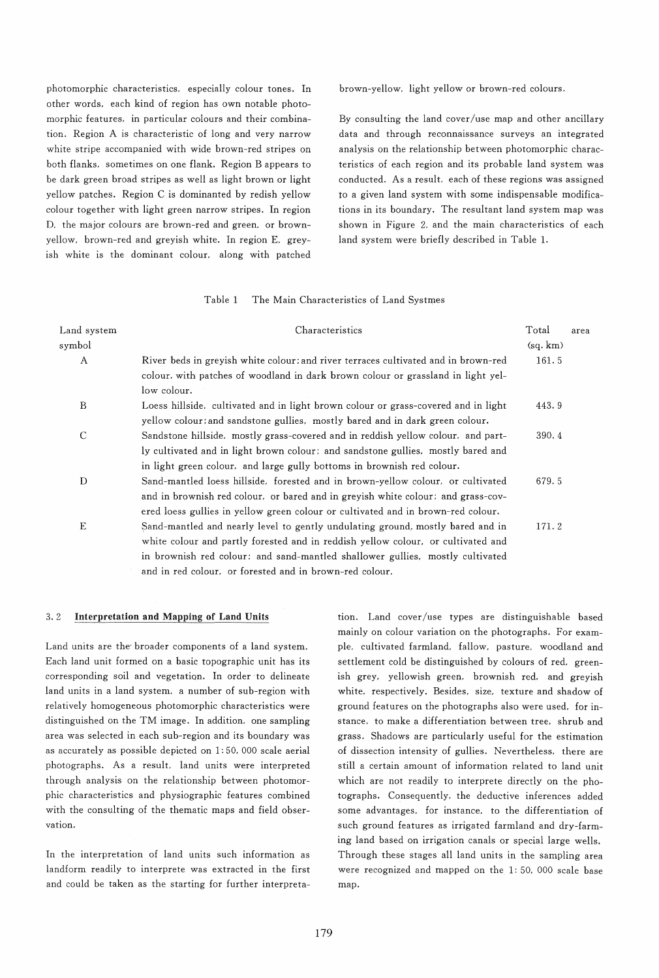photomorphic characteristics, especially colour tones. In other words, each kind of region has own notable photomorphic features, in particular colours and their combination. Region A is characteristic of long and very narrow white stripe accompanied with wide brown-red stripes on both flanks, sometimes on one flank. Region B appears to be dark green broad stripes as well as light brown or light yellow patches. Region C is dominanted by redish yellow colour together with light green narrow stripes. In region D, the major colours are brown-red and green, or brownyellow, brown-red and greyish white. In region E, greyish white is the dominant colour. along with patched brown-yellow, light yellow or brown-red colours.

By consulting the land cover/use map and other ancillary data and through reconnaissance surveys an integrated analysis on the relationship between photomorphic characteristics of each region and its probable land system was conducted. As a result, each of these regions was assigned to a given land system with some indispensable modifications in its boundary. The resultant land system map was shown in Figure 2, and the main characteristics of each land system were briefly described in Table 1.

## Table 1 The Main Characteristics of Land Systmes

| Land system<br>symbol | Characteristics                                                                                                                                                                                                                                                                                                | Total<br>(sq, km) | area |
|-----------------------|----------------------------------------------------------------------------------------------------------------------------------------------------------------------------------------------------------------------------------------------------------------------------------------------------------------|-------------------|------|
| $\mathbf{A}$          | River beds in greyish white colour; and river terraces cultivated and in brown-red<br>colour, with patches of woodland in dark brown colour or grassland in light yel-<br>low colour.                                                                                                                          | 161.5             |      |
| B                     | Loess hillside, cultivated and in light brown colour or grass-covered and in light<br>yellow colour; and sandstone gullies, mostly bared and in dark green colour.                                                                                                                                             | 443.9             |      |
| $\mathcal{C}$         | Sandstone hillside, mostly grass-covered and in reddish yellow colour, and part-<br>ly cultivated and in light brown colour; and sandstone gullies, mostly bared and<br>in light green colour, and large gully bottoms in brownish red colour.                                                                 | 390.4             |      |
| D                     | Sand-mantled loess hillside, forested and in brown-yellow colour, or cultivated<br>and in brownish red colour. or bared and in greyish white colour: and grass-cov-<br>ered loess gullies in yellow green colour or cultivated and in brown-red colour.                                                        | 679.5             |      |
| E                     | Sand-mantled and nearly level to gently undulating ground, mostly bared and in<br>white colour and partly forested and in reddish yellow colour, or cultivated and<br>in brownish red colour; and sand-mantled shallower guilies, mostly cultivated<br>and in red colour. or forested and in brown-red colour. | 171.2             |      |

#### 3.2 Interpretation and Mapping of Land Units

Land units are the broader components of a land system. Each land unit formed on a basic topographic unit has its corresponding soil and vegetation. In order to delineate land units in a land system, a number of sub-region with relatively homogeneous photomorphic characteristics were distinguished on the TM image. In addition, one sampling area was selected in each sub-region and its boundary was as accurately as possible depicted on 1: 50, 000 scale aerial photographs. As a result, land units were interpreted through analysis on the relationship between photomorphic characteristics and physiographic features combined with the consulting of the thematic maps and field observation.

In the interpretation of land units such information as landform readily to interprete was extracted in the first and could be taken as the starting for further interpretation. Land cover/use types are distinguishable based mainly on colour variation on the photographs. For example, cultivated farmland, fallow, pasture, woodland and settlement cold be distinguished by colours of red, greenish grey, yellowish green, brownish red, and greyish white. respectively. Besides. size. texture and shadow of ground features on the photographs also were used. for instance. to make a differentiation between tree. shrub and grass. Shadows are particularly useful for the estimation of dissection intensity of gullies. Nevertheless. there are still a certain amount of information related to land unit which are not readily to interprete directly on the photographs. Consequently, the deductive inferences added some advantages. for instance. to the differentiation of such ground features as irrigated farmland and dry-farming land based on irrigation canals or special large wells. Through these stages all land units in the sampling area were recognized and mapped on the 1: 50. 000 scale base map.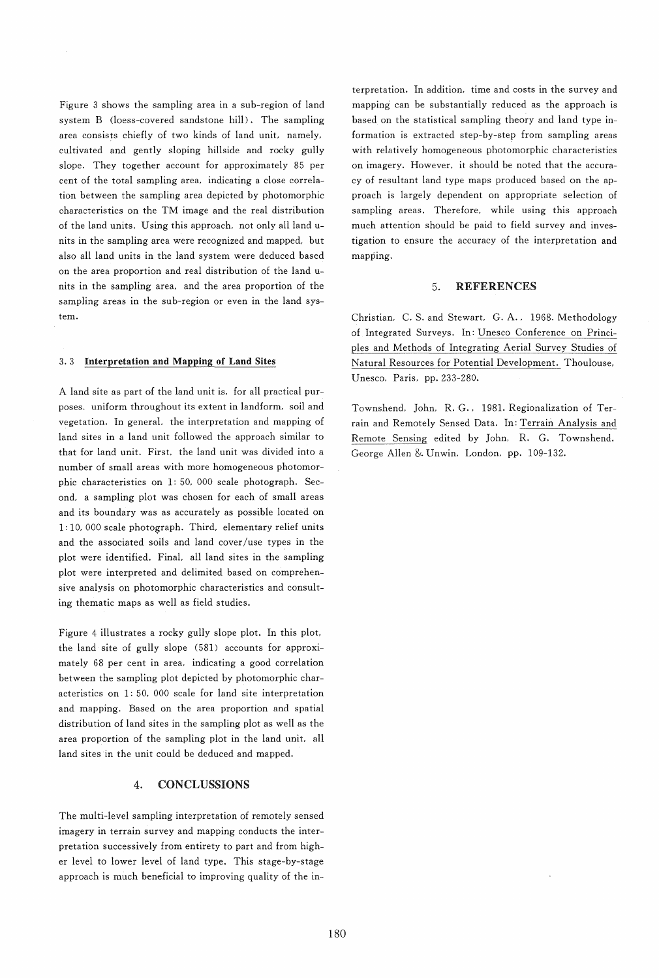Figure 3 shows the sampling area in a sub-region of land system B (loess-covered sandstone hill). The sampling area consists chiefly of two kinds of land unit, namely, cultivated and gently sloping hillside and rocky gully slope. They together account for approximately 85 per cent of the total sampling area, indicating a close correlation between the sampling area depicted by photomorphic characteristics on the TM image and the real distribution of the land units. Using this approach, not only all land units in the sampling area were recognized and mapped, but also all land units in the land system were deduced based on the area proportion and real distribution of the land units in the sampling area, and the area proportion of the sampling areas in the sub-region or even in the land system.

## 3. 3 Interpretation and Mapping of Land Sites

A land site as part of the land unit is, for all practical purposes, uniform throughout its extent in landform, soil and vegetation. In general, the interpretation and mapping of land sites in a land unit followed the approach similar to that for land unit. First, the land unit was divided into a number of small areas with more homogeneous photomorphic characteristics on 1: 50, 000 scale photograph. Second, a sampling plot was chosen for each of small areas and its boundary was as accurately as possible located on 1: 10, 000 scale photograph. Third, elementary relief units and the associated soils and land cover *luse* types in the plot were identified. Final, all land sites in the sampling plot were interpreted and delimited based on comprehensive analysis on photomorphic characteristics and consulting thematic maps as well as field studies.

Figure 4 illustrates a rocky gully slope plot. In this plot, the land site of gully slope (581) accounts for approximately 68 per cent in area, indicating a good correlation between the sampling plot depicted by photomorphic characteristics on 1: 50, 000 scale for land site interpretation and mapping. Based on the area proportion and spatial distribution of land sites in the sampling plot as well as the area proportion of the sampling plot in the land unit, all land sites in the unit could be deduced and mapped.

# 4. CONCLUSSIONS

The multi-level sampling interpretation of remotely sensed imagery in terrain survey and mapping conducts the interpretation successively from entirety to part and from higher level to lower level of land type. This stage-by-stage approach is much beneficial to improving quality of the interpretation. In addition, time and costs in the survey and mapping can be substantially reduced as the approach is based on the statistical sampling theory and land type information is extracted step-by-step from sampling areas with relatively homogeneous photomorphic characteristics on imagery. However. it should be noted that the accuracy of resultant land type maps produced based on the approach is largely dependent on appropriate selection of sampling areas. Therefore, while using this approach much attention should be paid to field survey and investigation to ensure the accuracy of the interpretation and mapping.

#### 5. REFERENCES

Christian, C. S. and Stewart, G. A., 1968. Methodology of Integrated Surveys. In: Unesco Conference on Principles and Methods of Integrating Aerial Survey Studies of Natural Resources for Potential Development. Thoulouse, Unesco, Paris, pp.233-280.

Townshend, John, R. G., 1981. Regionalization of Terrain and Remotely Sensed Data. In: Terrain Analysis and Remote Sensing edited by John, R. G. Townshend. George Allen &. Unwin, London, pp. 109-132.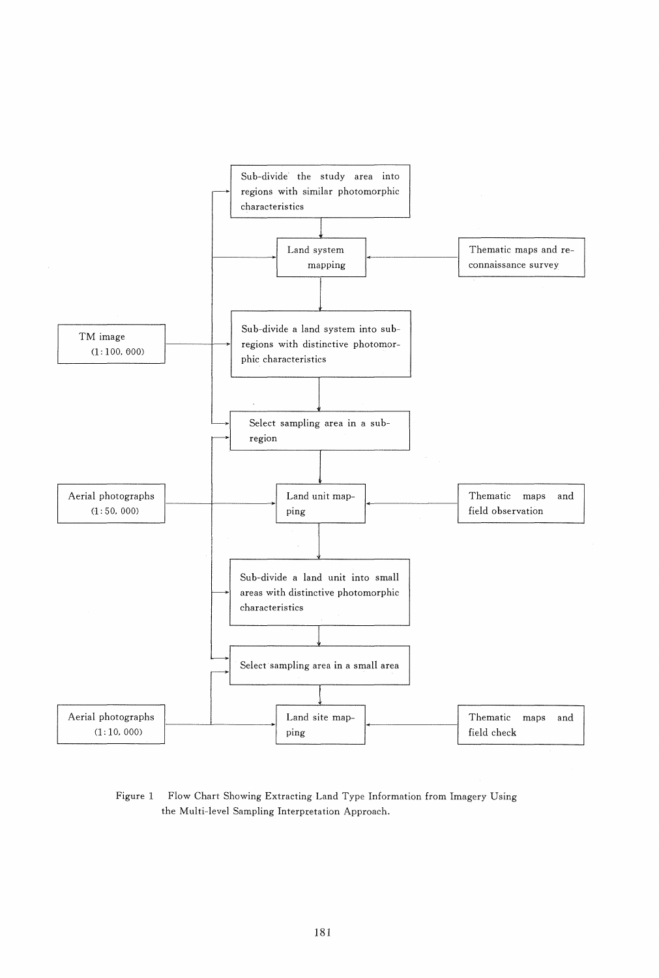

Figure 1 Flow Chart Showing Extracting Land Type Information from Imagery Using the Multi-level Sampling Interpretation Approach.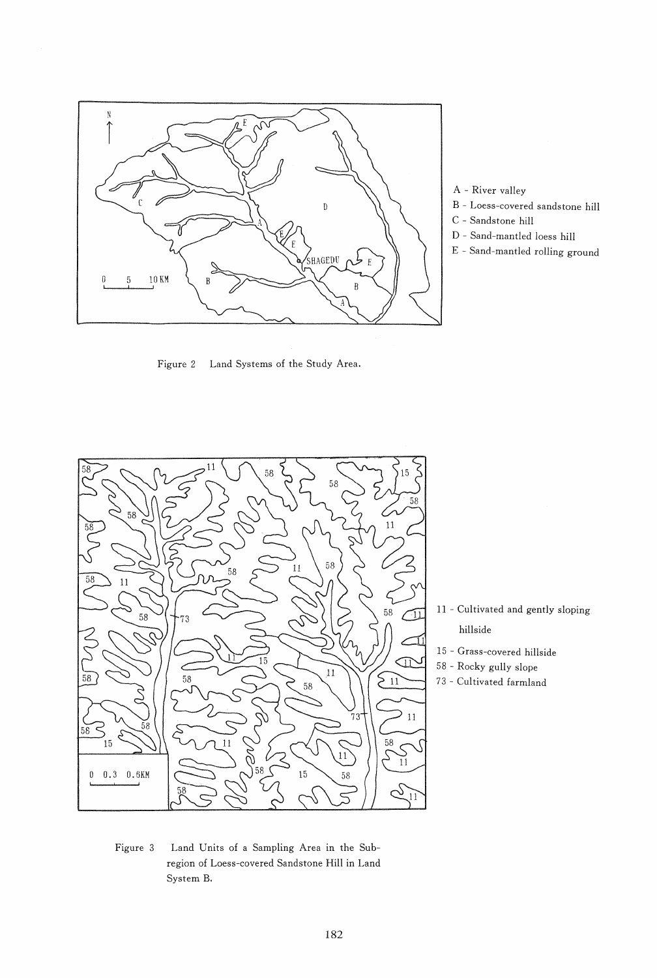

A - River valley

- B Loess-covered sandstone hill
- C Sandstone hill
- D Sand-mantled loess hill
- E Sand-mantled rolling ground

Figure 2 Land Systems of the Study Area.



- 11 Cultivated and gently sloping hillside
- 15 Grass-covered hillside
- 58 Rocky gully slope
- 73 Cultivated farmland

Figure 3 Land Units of a Sampling Area in the Subregion of Loess-covered Sandstone Hill in Land System B.